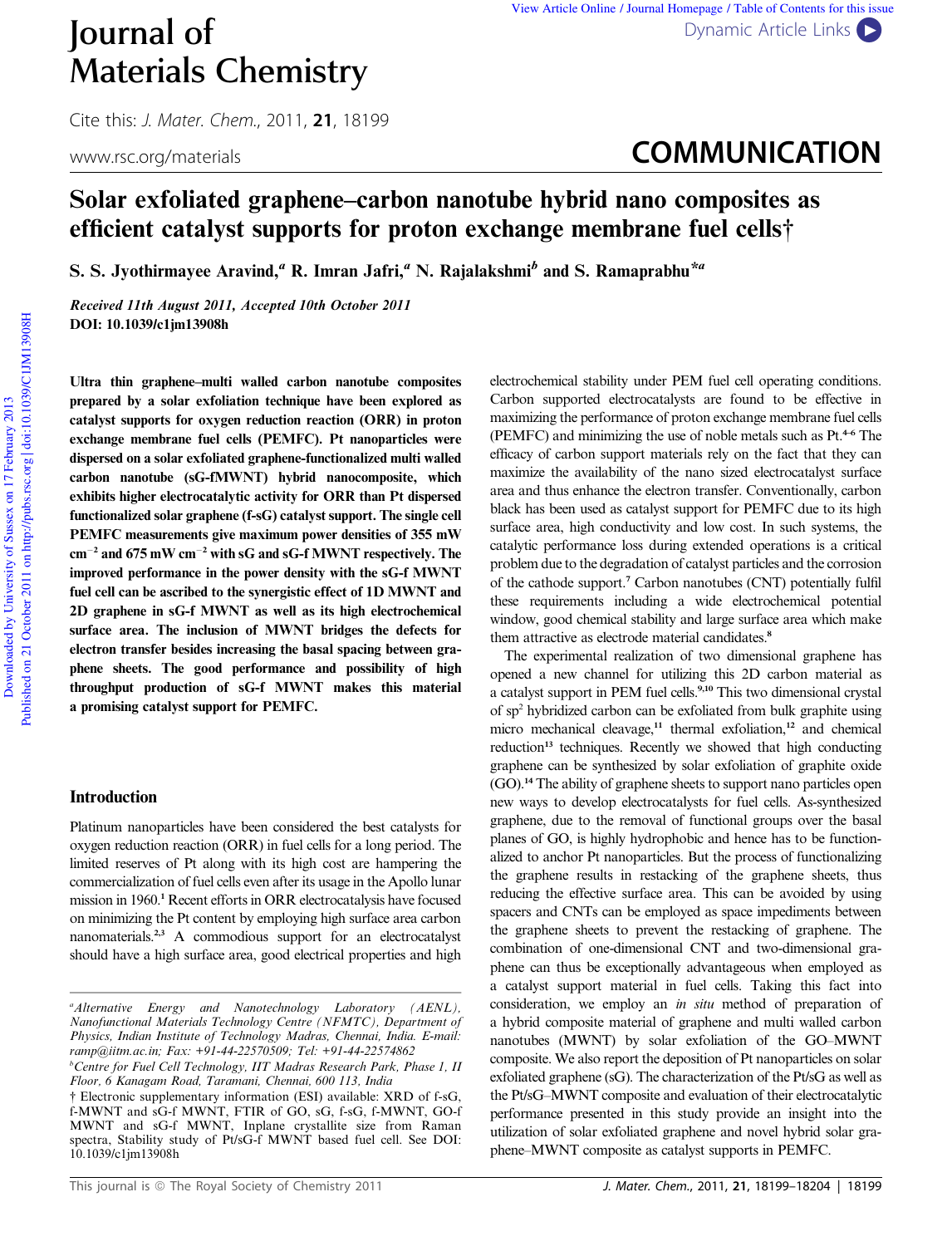# Materials Chemistry

electrochemical stability under PEM fuel cell operating conditions. Carbon supported electrocatalysts are found to be effective in maximizing the performance of proton exchange membrane fuel cells (PEMFC) and minimizing the use of noble metals such as Pt.4–6 The efficacy of carbon support materials rely on the fact that they can maximize the availability of the nano sized electrocatalyst surface area and thus enhance the electron transfer. Conventionally, carbon black has been used as catalyst support for PEMFC due to its high surface area, high conductivity and low cost. In such systems, the catalytic performance loss during extended operations is a critical problem due to the degradation of catalyst particles and the corrosion of the cathode support.<sup>7</sup> Carbon nanotubes (CNT) potentially fulfil these requirements including a wide electrochemical potential window, good chemical stability and large surface area which make

The experimental realization of two dimensional graphene has opened a new channel for utilizing this 2D carbon material as a catalyst support in PEM fuel cells.<sup>9,10</sup> This two dimensional crystal of sp<sup>2</sup> hybridized carbon can be exfoliated from bulk graphite using micro mechanical cleavage,<sup>11</sup> thermal exfoliation,<sup>12</sup> and chemical reduction<sup>13</sup> techniques. Recently we showed that high conducting graphene can be synthesized by solar exfoliation of graphite oxide (GO).<sup>14</sup> The ability of graphene sheets to support nano particles open new ways to develop electrocatalysts for fuel cells. As-synthesized graphene, due to the removal of functional groups over the basal planes of GO, is highly hydrophobic and hence has to be functionalized to anchor Pt nanoparticles. But the process of functionalizing the graphene results in restacking of the graphene sheets, thus reducing the effective surface area. This can be avoided by using spacers and CNTs can be employed as space impediments between the graphene sheets to prevent the restacking of graphene. The combination of one-dimensional CNT and two-dimensional graphene can thus be exceptionally advantageous when employed as a catalyst support material in fuel cells. Taking this fact into consideration, we employ an *in situ* method of preparation of a hybrid composite material of graphene and multi walled carbon nanotubes (MWNT) by solar exfoliation of the GO–MWNT composite. We also report the deposition of Pt nanoparticles on solar exfoliated graphene (sG). The characterization of the Pt/sG as well as

them attractive as electrode material candidates.<sup>8</sup>

Cite this: J. Mater. Chem., 2011, 21, 18199

## www.rsc.org/materials **COMMUNICATION**

### Solar exfoliated graphene–carbon nanotube hybrid nano composites as efficient catalyst supports for proton exchange membrane fuel cells†

S. S. Jyothirmayee Aravind," R. Imran Jafri," N. Rajalakshmi $^b$  and S. Ramaprabhu $^{\ast a}$ 

Received 11th August 2011, Accepted 10th October 2011 DOI: 10.1039/c1jm13908h

Ultra thin graphene–multi walled carbon nanotube composites prepared by a solar exfoliation technique have been explored as catalyst supports for oxygen reduction reaction (ORR) in proton exchange membrane fuel cells (PEMFC). Pt nanoparticles were dispersed on a solar exfoliated graphene-functionalized multi walled carbon nanotube (sG-fMWNT) hybrid nanocomposite, which exhibits higher electrocatalytic activity for ORR than Pt dispersed functionalized solar graphene (f-sG) catalyst support. The single cell PEMFC measurements give maximum power densities of 355 mW  $\text{cm}^{-2}$  and 675 mW  $\text{cm}^{-2}$  with sG and sG-f MWNT respectively. The improved performance in the power density with the sG-f MWNT fuel cell can be ascribed to the synergistic effect of 1D MWNT and 2D graphene in sG-f MWNT as well as its high electrochemical surface area. The inclusion of MWNT bridges the defects for electron transfer besides increasing the basal spacing between graphene sheets. The good performance and possibility of high throughput production of sG-f MWNT makes this material a promising catalyst support for PEMFC.

#### Introduction

Platinum nanoparticles have been considered the best catalysts for oxygen reduction reaction (ORR) in fuel cells for a long period. The limited reserves of Pt along with its high cost are hampering the commercialization of fuel cells even after its usage in the Apollo lunar mission in 1960.<sup>1</sup> Recent efforts in ORR electrocatalysis have focused on minimizing the Pt content by employing high surface area carbon nanomaterials.<sup>2,3</sup> A commodious support for an electrocatalyst should have a high surface area, good electrical properties and high

*<sup>a</sup>Alternative Energy and Nanotechnology Laboratory (AENL), Nanofunctional Materials Technology Centre (NFMTC), Department of Physics, Indian Institute of Technology Madras, Chennai, India. E-mail: ramp@iitm.ac.in; Fax: +91-44-22570509; Tel: +91-44-22574862*

*<sup>b</sup>Centre for Fuel Cell Technology, IIT Madras Research Park, Phase 1, II Floor, 6 Kanagam Road, Taramani, Chennai, 600 113, India*

<sup>†</sup> Electronic supplementary information (ESI) available: XRD of f-sG, f-MWNT and sG-f MWNT, FTIR of GO, sG, f-sG, f-MWNT, GO-f MWNT and sG-f MWNT, Inplane crystallite size from Raman spectra, Stability study of Pt/sG-f MWNT based fuel cell. See DOI: 10.1039/c1jm13908h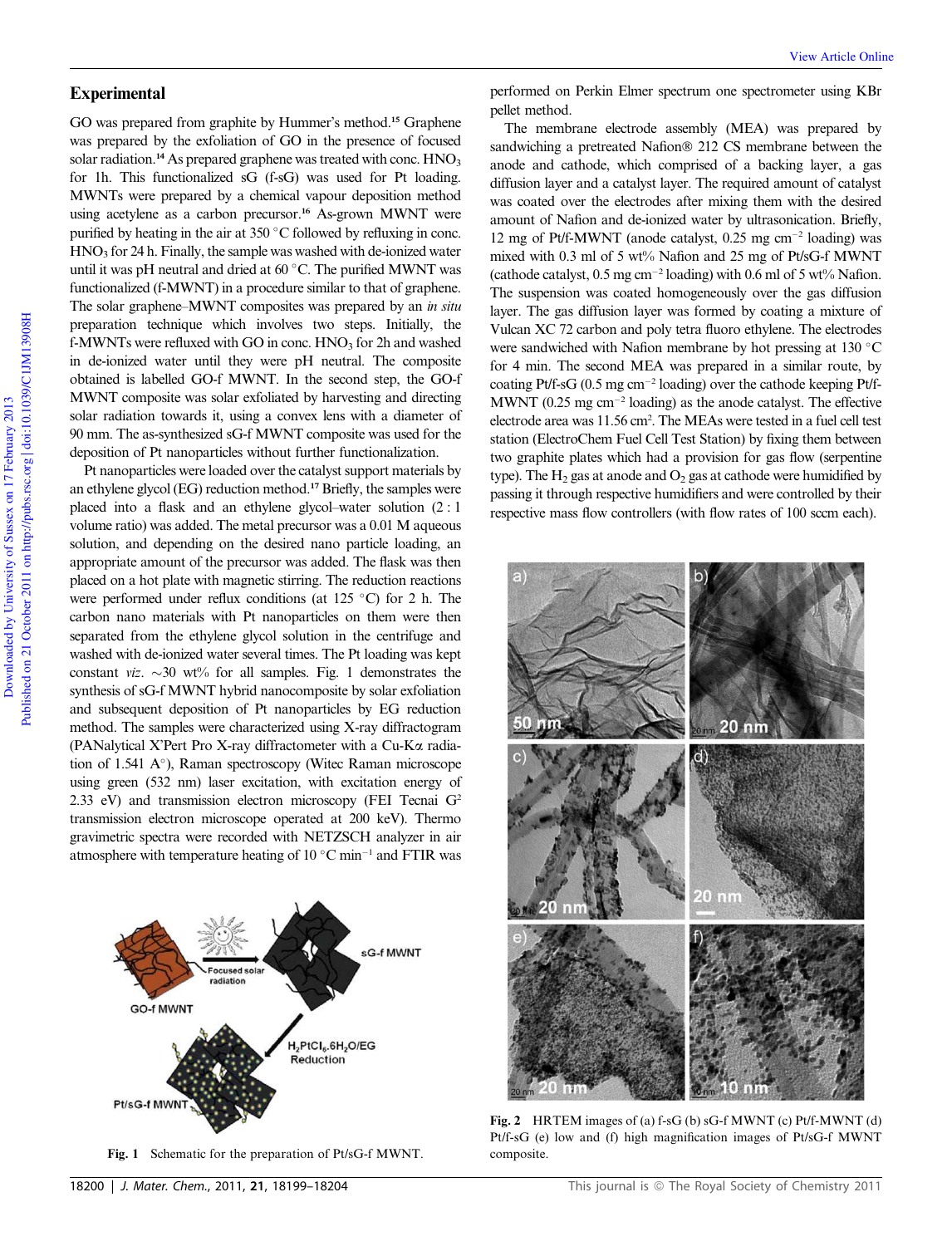#### Experimental

GO was prepared from graphite by Hummer's method.<sup>15</sup> Graphene was prepared by the exfoliation of GO in the presence of focused solar radiation.<sup>14</sup> As prepared graphene was treated with conc.  $HNO<sub>3</sub>$ for 1h. This functionalized sG (f-sG) was used for Pt loading. MWNTs were prepared by a chemical vapour deposition method using acetylene as a carbon precursor.<sup>16</sup> As-grown MWNT were purified by heating in the air at  $350^{\circ}$ C followed by refluxing in conc.  $HNO<sub>3</sub>$  for 24 h. Finally, the sample was washed with de-ionized water until it was pH neutral and dried at  $60^{\circ}$ C. The purified MWNT was functionalized (f-MWNT) in a procedure similar to that of graphene. The solar graphene–MWNT composites was prepared by an *in situ* preparation technique which involves two steps. Initially, the f-MWNTs were refluxed with GO in conc.  $HNO<sub>3</sub>$  for 2h and washed in de-ionized water until they were pH neutral. The composite obtained is labelled GO-f MWNT. In the second step, the GO-f MWNT composite was solar exfoliated by harvesting and directing solar radiation towards it, using a convex lens with a diameter of 90 mm. The as-synthesized sG-f MWNT composite was used for the deposition of Pt nanoparticles without further functionalization.

Pt nanoparticles were loaded over the catalyst support materials by an ethylene glycol (EG) reduction method.<sup>17</sup> Briefly, the samples were placed into a flask and an ethylene glycol–water solution (2 : 1 volume ratio) was added. The metal precursor was a 0.01 M aqueous solution, and depending on the desired nano particle loading, an appropriate amount of the precursor was added. The flask was then placed on a hot plate with magnetic stirring. The reduction reactions were performed under reflux conditions (at  $125 °C$ ) for 2 h. The carbon nano materials with Pt nanoparticles on them were then separated from the ethylene glycol solution in the centrifuge and washed with de-ionized water several times. The Pt loading was kept constant *viz*.  $\sim$ 30 wt% for all samples. Fig. 1 demonstrates the synthesis of sG-f MWNT hybrid nanocomposite by solar exfoliation and subsequent deposition of Pt nanoparticles by EG reduction method. The samples were characterized using X-ray diffractogram (PANalytical X'Pert Pro X-ray diffractometer with a Cu-Ka radiation of 1.541 A ), Raman spectroscopy (Witec Raman microscope using green (532 nm) laser excitation, with excitation energy of 2.33 eV) and transmission electron microscopy (FEI Tecnai  $G<sup>2</sup>$ transmission electron microscope operated at 200 keV). Thermo gravimetric spectra were recorded with NETZSCH analyzer in air atmosphere with temperature heating of  $10^{\circ}$ C min<sup>-1</sup> and FTIR was



Fig. 1 Schematic for the preparation of Pt/sG-f MWNT.

performed on Perkin Elmer spectrum one spectrometer using KBr pellet method.

The membrane electrode assembly (MEA) was prepared by sandwiching a pretreated Nafion® 212 CS membrane between the anode and cathode, which comprised of a backing layer, a gas diffusion layer and a catalyst layer. The required amount of catalyst was coated over the electrodes after mixing them with the desired amount of Nafion and de-ionized water by ultrasonication. Briefly, 12 mg of Pt/f-MWNT (anode catalyst,  $0.25$  mg cm<sup>-2</sup> loading) was mixed with 0.3 ml of 5 wt% Nafion and 25 mg of Pt/sG-f MWNT (cathode catalyst,  $0.5$  mg cm<sup>-2</sup> loading) with 0.6 ml of 5 wt% Nafion. The suspension was coated homogeneously over the gas diffusion layer. The gas diffusion layer was formed by coating a mixture of Vulcan XC 72 carbon and poly tetra fluoro ethylene. The electrodes were sandwiched with Nafion membrane by hot pressing at 130  $^{\circ}$ C for 4 min. The second MEA was prepared in a similar route, by coating Pt/f-sG  $(0.5 \text{ mg cm}^{-2} \text{ loading})$  over the cathode keeping Pt/f-MWNT ( $0.25$  mg cm<sup>-2</sup> loading) as the anode catalyst. The effective electrode area was 11.56 cm<sup>2</sup>. The MEAs were tested in a fuel cell test station (ElectroChem Fuel Cell Test Station) by fixing them between two graphite plates which had a provision for gas flow (serpentine type). The H<sub>2</sub> gas at anode and  $O_2$  gas at cathode were humidified by passing it through respective humidifiers and were controlled by their respective mass flow controllers (with flow rates of 100 sccm each).



Fig. 2 HRTEM images of (a) f-sG (b) sG-f MWNT (c) Pt/f-MWNT (d) Pt/f-sG (e) low and (f) high magnification images of Pt/sG-f MWNT composite.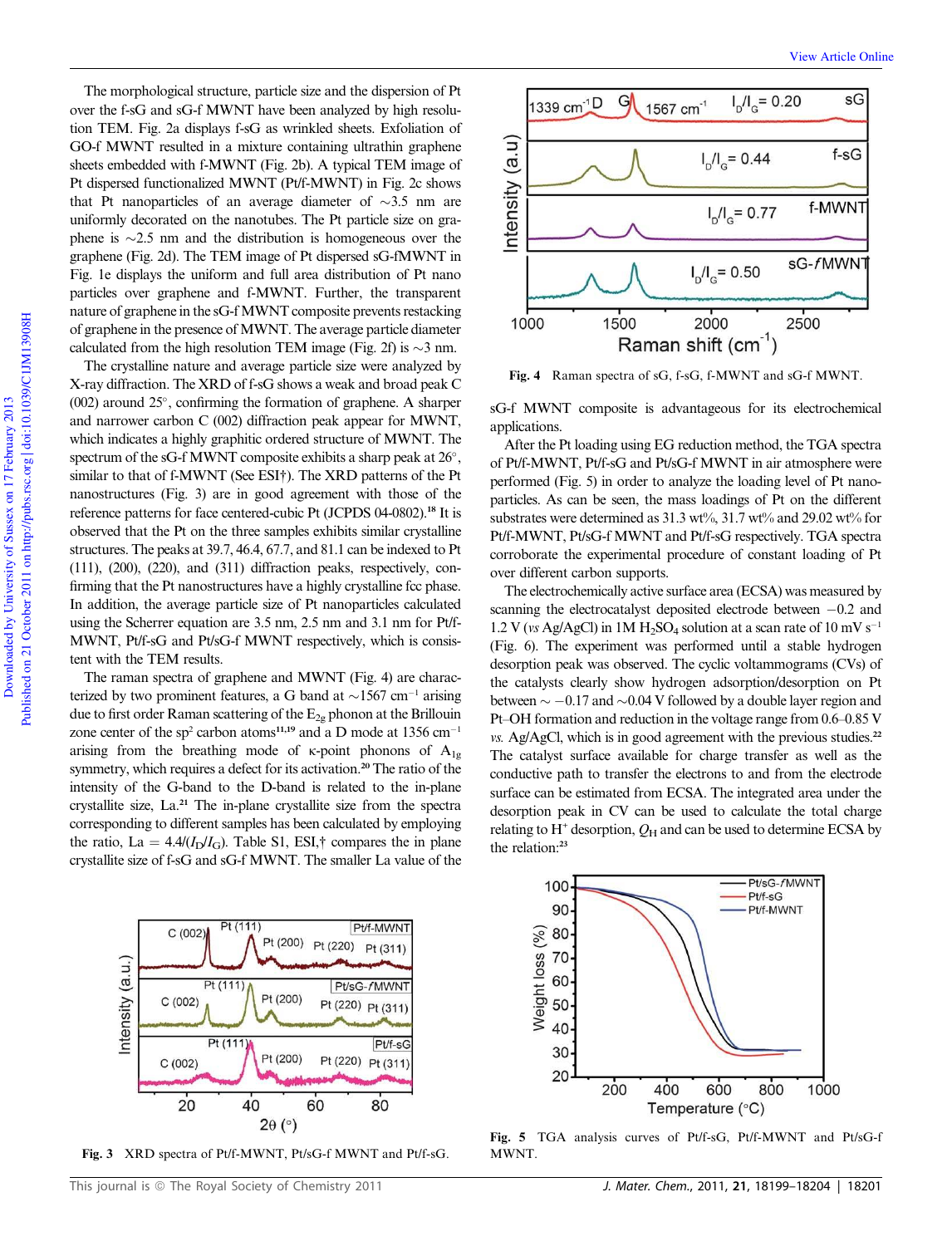The morphological structure, particle size and the dispersion of Pt over the f-sG and sG-f MWNT have been analyzed by high resolution TEM. Fig. 2a displays f-sG as wrinkled sheets. Exfoliation of GO-f MWNT resulted in a mixture containing ultrathin graphene sheets embedded with f-MWNT (Fig. 2b). A typical TEM image of Pt dispersed functionalized MWNT (Pt/f-MWNT) in Fig. 2c shows that Pt nanoparticles of an average diameter of  $\sim$ 3.5 nm are uniformly decorated on the nanotubes. The Pt particle size on graphene is  $\sim$ 2.5 nm and the distribution is homogeneous over the graphene (Fig. 2d). The TEM image of Pt dispersed sG-fMWNT in Fig. 1e displays the uniform and full area distribution of Pt nano particles over graphene and f-MWNT. Further, the transparent nature of graphene in the sG-fMWNT composite prevents restacking of graphene in the presence of MWNT. The average particle diameter calculated from the high resolution TEM image (Fig. 2f) is  $\sim$ 3 nm.

The crystalline nature and average particle size were analyzed by X-ray diffraction. The XRD of f-sG shows a weak and broad peak C (002) around 25 , confirming the formation of graphene. A sharper and narrower carbon C (002) diffraction peak appear for MWNT, which indicates a highly graphitic ordered structure of MWNT. The spectrum of the sG-f MWNT composite exhibits a sharp peak at 26°, similar to that of f-MWNT (See ESI†). The XRD patterns of the Pt nanostructures (Fig. 3) are in good agreement with those of the reference patterns for face centered-cubic Pt (JCPDS 04-0802).<sup>18</sup> It is observed that the Pt on the three samples exhibits similar crystalline structures. The peaks at 39.7, 46.4, 67.7, and 81.1 can be indexed to Pt (111), (200), (220), and (311) diffraction peaks, respectively, confirming that the Pt nanostructures have a highly crystalline fcc phase. In addition, the average particle size of Pt nanoparticles calculated using the Scherrer equation are 3.5 nm, 2.5 nm and 3.1 nm for Pt/f-MWNT, Pt/f-sG and Pt/sG-f MWNT respectively, which is consistent with the TEM results.

The raman spectra of graphene and MWNT (Fig. 4) are characterized by two prominent features, a G band at  $\sim$ 1567 cm<sup>-1</sup> arising due to first order Raman scattering of the  $E_{2g}$  phonon at the Brillouin zone center of the sp<sup>2</sup> carbon atoms<sup>11,19</sup> and a D mode at 1356 cm<sup>-1</sup> arising from the breathing mode of  $\kappa$ -point phonons of  $A_{1g}$ symmetry, which requires a defect for its activation.<sup>20</sup> The ratio of the intensity of the G-band to the D-band is related to the in-plane crystallite size, La.<sup>21</sup> The in-plane crystallite size from the spectra corresponding to different samples has been calculated by employing the ratio,  $La = 4.4/(I_D/I_G)$ . Table S1, ESI,<sup>†</sup> compares the in plane crystallite size of f-sG and sG-f MWNT. The smaller La value of the



Fig. 3 XRD spectra of Pt/f-MWNT, Pt/sG-f MWNT and Pt/f-sG.



Fig. 4 Raman spectra of sG, f-sG, f-MWNT and sG-f MWNT.

sG-f MWNT composite is advantageous for its electrochemical applications.

After the Pt loading using EG reduction method, the TGA spectra of Pt/f-MWNT, Pt/f-sG and Pt/sG-f MWNT in air atmosphere were performed (Fig. 5) in order to analyze the loading level of Pt nanoparticles. As can be seen, the mass loadings of Pt on the different substrates were determined as 31.3 wt%, 31.7 wt% and 29.02 wt% for Pt/f-MWNT, Pt/sG-f MWNT and Pt/f-sG respectively. TGA spectra corroborate the experimental procedure of constant loading of Pt over different carbon supports.

The electrochemically active surface area (ECSA) was measured by scanning the electrocatalyst deposited electrode between  $-0.2$  and 1.2 V (*vs* Ag/AgCl) in 1M H<sub>2</sub>SO<sub>4</sub> solution at a scan rate of 10 mV s<sup>-1</sup> (Fig. 6). The experiment was performed until a stable hydrogen desorption peak was observed. The cyclic voltammograms (CVs) of the catalysts clearly show hydrogen adsorption/desorption on Pt between  $\sim -0.17$  and  $\sim 0.04$  V followed by a double layer region and Pt–OH formation and reduction in the voltage range from 0.6–0.85 V *vs.* Ag/AgCl, which is in good agreement with the previous studies.<sup>22</sup> The catalyst surface available for charge transfer as well as the conductive path to transfer the electrons to and from the electrode surface can be estimated from ECSA. The integrated area under the desorption peak in CV can be used to calculate the total charge relating to  $H^+$  desorption,  $Q_H$  and can be used to determine ECSA by the relation:<sup>23</sup>



Fig. 5 TGA analysis curves of Pt/f-sG, Pt/f-MWNT and Pt/sG-f MWNT.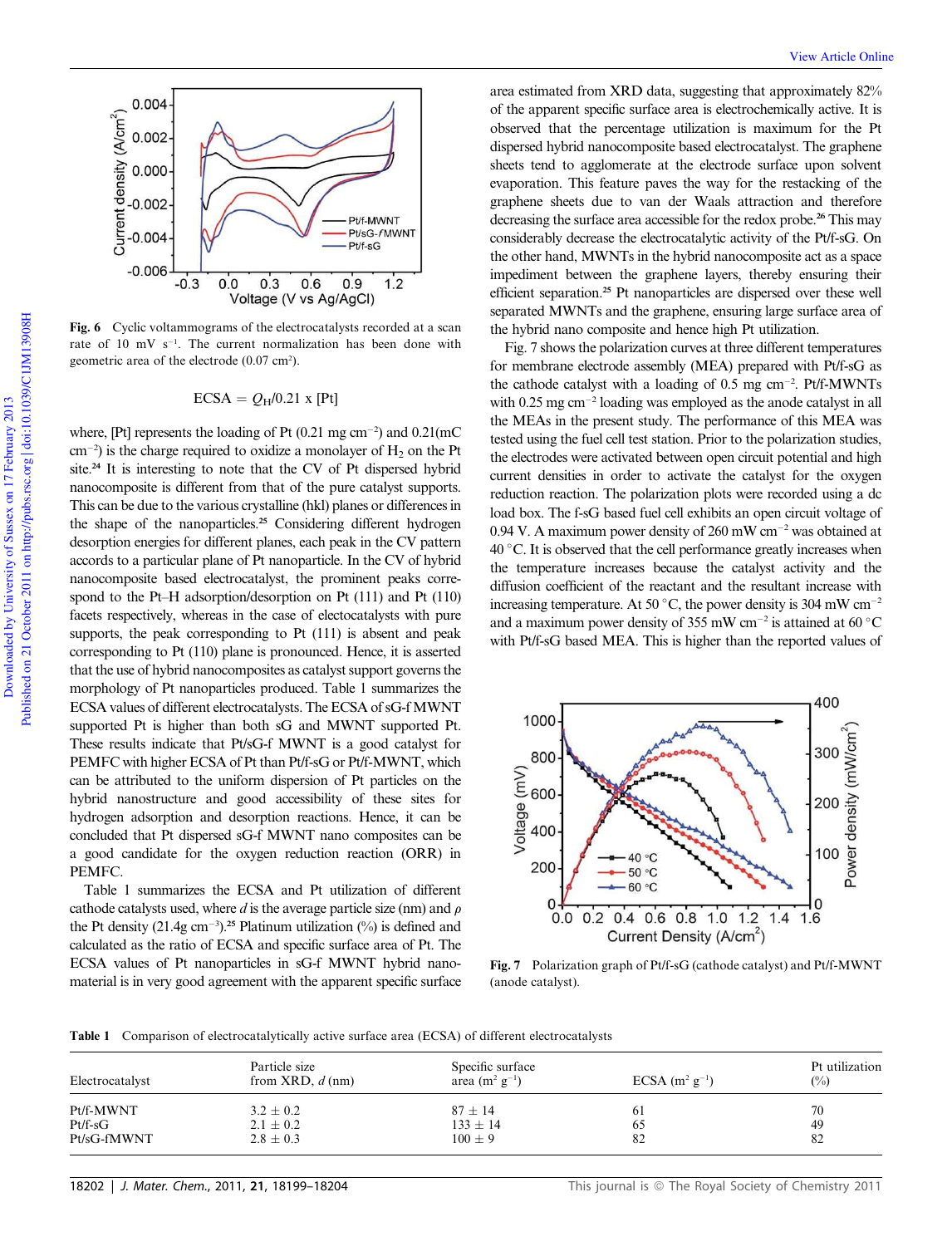

Fig. 6 Cyclic voltammograms of the electrocatalysts recorded at a scan rate of 10 mV  $s^{-1}$ . The current normalization has been done with geometric area of the electrode (0.07 cm<sup>2</sup>).

$$
ECSA = Q_H/0.21 \text{ x [Pt]}
$$

where, [Pt] represents the loading of Pt  $(0.21 \text{ mg cm}^{-2})$  and  $0.21 \text{ (mC)}$  $\text{cm}^{-2}$ ) is the charge required to oxidize a monolayer of  $\text{H}_2$  on the Pt site.<sup>24</sup> It is interesting to note that the CV of Pt dispersed hybrid nanocomposite is different from that of the pure catalyst supports. This can be due to the various crystalline (hkl) planes or differences in the shape of the nanoparticles.<sup>25</sup> Considering different hydrogen desorption energies for different planes, each peak in the CV pattern accords to a particular plane of Pt nanoparticle. In the CV of hybrid nanocomposite based electrocatalyst, the prominent peaks correspond to the Pt–H adsorption/desorption on Pt (111) and Pt (110) facets respectively, whereas in the case of electocatalysts with pure supports, the peak corresponding to Pt (111) is absent and peak corresponding to Pt (110) plane is pronounced. Hence, it is asserted that the use of hybrid nanocomposites as catalyst support governs the morphology of Pt nanoparticles produced. Table 1 summarizes the ECSA values of different electrocatalysts. The ECSA of sG-f MWNT supported Pt is higher than both sG and MWNT supported Pt. These results indicate that Pt/sG-f MWNT is a good catalyst for PEMFC with higher ECSA of Pt than Pt/f-sG or Pt/f-MWNT, which can be attributed to the uniform dispersion of Pt particles on the hybrid nanostructure and good accessibility of these sites for hydrogen adsorption and desorption reactions. Hence, it can be concluded that Pt dispersed sG-f MWNT nano composites can be a good candidate for the oxygen reduction reaction (ORR) in PEMFC.

Table 1 summarizes the ECSA and Pt utilization of different cathode catalysts used, where  $d$  is the average particle size (nm) and  $\rho$ the Pt density  $(21.4g \text{ cm}^{-3})$ .<sup>25</sup> Platinum utilization  $(\%)$  is defined and calculated as the ratio of ECSA and specific surface area of Pt. The ECSA values of Pt nanoparticles in sG-f MWNT hybrid nanomaterial is in very good agreement with the apparent specific surface

area estimated from XRD data, suggesting that approximately 82% of the apparent specific surface area is electrochemically active. It is observed that the percentage utilization is maximum for the Pt dispersed hybrid nanocomposite based electrocatalyst. The graphene sheets tend to agglomerate at the electrode surface upon solvent evaporation. This feature paves the way for the restacking of the graphene sheets due to van der Waals attraction and therefore decreasing the surface area accessible for the redox probe.<sup>26</sup> This may considerably decrease the electrocatalytic activity of the Pt/f-sG. On the other hand, MWNTs in the hybrid nanocomposite act as a space impediment between the graphene layers, thereby ensuring their efficient separation.<sup>25</sup> Pt nanoparticles are dispersed over these well separated MWNTs and the graphene, ensuring large surface area of the hybrid nano composite and hence high Pt utilization.

Fig. 7 shows the polarization curves at three different temperatures for membrane electrode assembly (MEA) prepared with Pt/f-sG as the cathode catalyst with a loading of  $0.5$  mg cm<sup>-2</sup>. Pt/f-MWNTs with  $0.25$  mg cm<sup>-2</sup> loading was employed as the anode catalyst in all the MEAs in the present study. The performance of this MEA was tested using the fuel cell test station. Prior to the polarization studies, the electrodes were activated between open circuit potential and high current densities in order to activate the catalyst for the oxygen reduction reaction. The polarization plots were recorded using a dc load box. The f-sG based fuel cell exhibits an open circuit voltage of 0.94 V. A maximum power density of 260 mW cm<sup>-2</sup> was obtained at 40 °C. It is observed that the cell performance greatly increases when the temperature increases because the catalyst activity and the diffusion coefficient of the reactant and the resultant increase with increasing temperature. At 50 °C, the power density is 304 mW cm<sup>-2</sup> and a maximum power density of 355 mW cm<sup>-2</sup> is attained at 60  $^{\circ}$ C with Pt/f-sG based MEA. This is higher than the reported values of



Fig. 7 Polarization graph of Pt/f-sG (cathode catalyst) and Pt/f-MWNT (anode catalyst).

Table 1 Comparison of electrocatalytically active surface area (ECSA) of different electrocatalysts

| Electrocatalyst | Particle size<br>from XRD, $d$ (nm) | Specific surface<br>area (m <sup>2</sup> g <sup>-1</sup> ) | $ECSA$ (m <sup>2</sup> g <sup>-1</sup> ) | Pt utilization<br>$\binom{0}{0}$ |
|-----------------|-------------------------------------|------------------------------------------------------------|------------------------------------------|----------------------------------|
| Pt/f-MWNT       | $3.2 \pm 0.2$                       | $87 \pm 14$                                                | -61                                      | 70                               |
| $Pt/f-sG$       | $2.1 \pm 0.2$                       | $133 \pm 14$                                               | 65                                       | 49                               |
| Pt/sG-fMWNT     | $2.8 + 0.3$                         | $100 \pm 9$                                                | 82                                       | 82                               |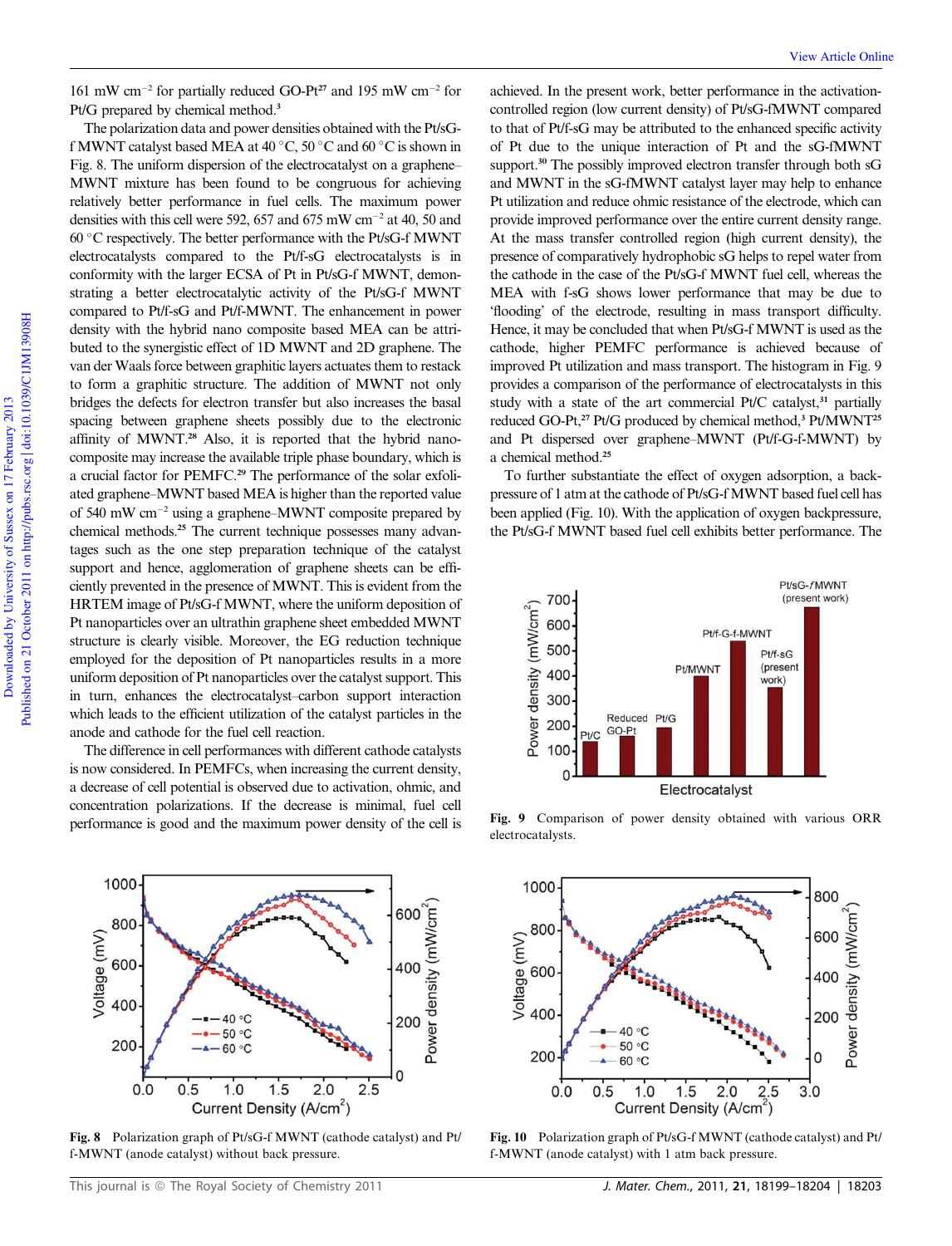161 mW cm<sup>-2</sup> for partially reduced GO-Pt<sup>27</sup> and 195 mW cm<sup>-2</sup> for Pt/G prepared by chemical method.<sup>3</sup>

The polarization data and power densities obtained with the Pt/sGf MWNT catalyst based MEA at 40 °C, 50 °C and 60 °C is shown in Fig. 8. The uniform dispersion of the electrocatalyst on a graphene– MWNT mixture has been found to be congruous for achieving relatively better performance in fuel cells. The maximum power densities with this cell were 592, 657 and 675 mW cm<sup>-2</sup> at 40, 50 and  $60^{\circ}$ C respectively. The better performance with the Pt/sG-f MWNT electrocatalysts compared to the Pt/f-sG electrocatalysts is in conformity with the larger ECSA of Pt in Pt/sG-f MWNT, demonstrating a better electrocatalytic activity of the Pt/sG-f MWNT compared to Pt/f-sG and Pt/f-MWNT. The enhancement in power density with the hybrid nano composite based MEA can be attributed to the synergistic effect of 1D MWNT and 2D graphene. The van der Waals force between graphitic layers actuates them to restack to form a graphitic structure. The addition of MWNT not only bridges the defects for electron transfer but also increases the basal spacing between graphene sheets possibly due to the electronic affinity of MWNT.<sup>28</sup> Also, it is reported that the hybrid nanocomposite may increase the available triple phase boundary, which is a crucial factor for PEMFC.<sup>29</sup> The performance of the solar exfoliated graphene–MWNT based MEA is higher than the reported value of 540 mW  $cm^{-2}$  using a graphene–MWNT composite prepared by chemical methods.<sup>25</sup> The current technique possesses many advantages such as the one step preparation technique of the catalyst support and hence, agglomeration of graphene sheets can be efficiently prevented in the presence of MWNT. This is evident from the HRTEM image of Pt/sG-f MWNT, where the uniform deposition of Pt nanoparticles over an ultrathin graphene sheet embedded MWNT structure is clearly visible. Moreover, the EG reduction technique employed for the deposition of Pt nanoparticles results in a more uniform deposition of Pt nanoparticles over the catalyst support. This in turn, enhances the electrocatalyst–carbon support interaction which leads to the efficient utilization of the catalyst particles in the anode and cathode for the fuel cell reaction.

The difference in cell performances with different cathode catalysts is now considered. In PEMFCs, when increasing the current density, a decrease of cell potential is observed due to activation, ohmic, and concentration polarizations. If the decrease is minimal, fuel cell performance is good and the maximum power density of the cell is



Fig. 8 Polarization graph of Pt/sG-f MWNT (cathode catalyst) and Pt/ f-MWNT (anode catalyst) without back pressure.

achieved. In the present work, better performance in the activationcontrolled region (low current density) of Pt/sG-fMWNT compared to that of Pt/f-sG may be attributed to the enhanced specific activity of Pt due to the unique interaction of Pt and the sG-fMWNT support.<sup>30</sup> The possibly improved electron transfer through both sG and MWNT in the sG-fMWNT catalyst layer may help to enhance Pt utilization and reduce ohmic resistance of the electrode, which can provide improved performance over the entire current density range. At the mass transfer controlled region (high current density), the presence of comparatively hydrophobic sG helps to repel water from the cathode in the case of the Pt/sG-f MWNT fuel cell, whereas the MEA with f-sG shows lower performance that may be due to 'flooding' of the electrode, resulting in mass transport difficulty. Hence, it may be concluded that when Pt/sG-f MWNT is used as the cathode, higher PEMFC performance is achieved because of improved Pt utilization and mass transport. The histogram in Fig. 9 provides a comparison of the performance of electrocatalysts in this study with a state of the art commercial  $Pt/C$  catalyst,<sup>31</sup> partially reduced GO-Pt,<sup>27</sup> Pt/G produced by chemical method,<sup>3</sup> Pt/MWNT<sup>25</sup> and Pt dispersed over graphene–MWNT (Pt/f-G-f-MWNT) by a chemical method.<sup>25</sup>

To further substantiate the effect of oxygen adsorption, a backpressure of 1 atm at the cathode of Pt/sG-f MWNT based fuel cell has been applied (Fig. 10). With the application of oxygen backpressure, the Pt/sG-f MWNT based fuel cell exhibits better performance. The



Fig. 9 Comparison of power density obtained with various ORR electrocatalysts.



Fig. 10 Polarization graph of Pt/sG-f MWNT (cathode catalyst) and Pt/ f-MWNT (anode catalyst) with 1 atm back pressure.